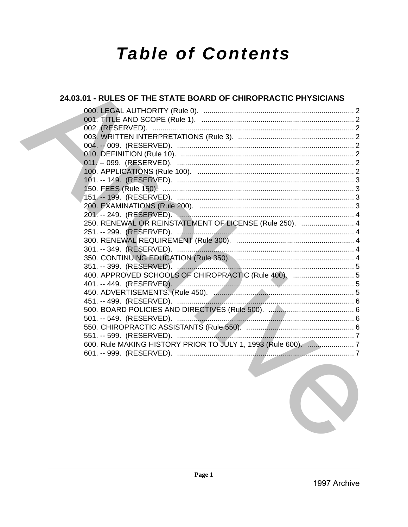# **Table of Contents**

### 24.03.01 - RULES OF THE STATE BOARD OF CHIROPRACTIC PHYSICIANS 250. RENEWAL OR REINSTATEMENT OF LICENSE (Rule 250). ......................... 4 400. APPROVED SCHOOLS OF CHIROPRACTIC (Rule 400). ............................... 5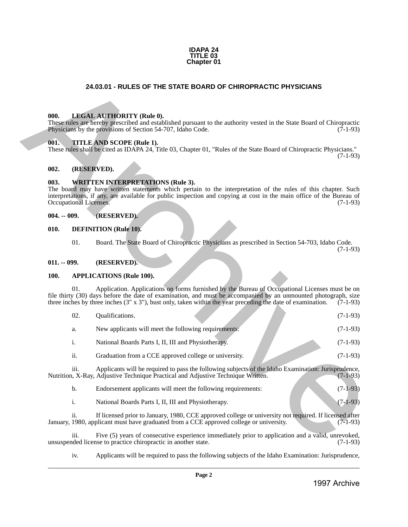

#### **24.03.01 - RULES OF THE STATE BOARD OF CHIROPRACTIC PHYSICIANS**

#### <span id="page-1-1"></span>**000. LEGAL AUTHORITY (Rule 0).**

#### <span id="page-1-2"></span>**001. TITLE AND SCOPE (Rule 1).**

#### <span id="page-1-3"></span>**002. (RESERVED).**

#### <span id="page-1-4"></span>**003. WRITTEN INTERPRETATIONS (Rule 3).**

#### <span id="page-1-5"></span>**004. -- 009. (RESERVED).**

#### <span id="page-1-6"></span>**010. DEFINITION (Rule 10).**

#### <span id="page-1-7"></span>**011. -- 099. (RESERVED).**

#### <span id="page-1-8"></span>**100. APPLICATIONS (Rule 100).**

<span id="page-1-0"></span>

|      |                            | 24.03.01 - RULES OF THE STATE BOARD OF CHIROPRACTIC PHYSICIANS                                                                                                                                                                                                                                                                            |            |
|------|----------------------------|-------------------------------------------------------------------------------------------------------------------------------------------------------------------------------------------------------------------------------------------------------------------------------------------------------------------------------------------|------------|
|      |                            |                                                                                                                                                                                                                                                                                                                                           |            |
| 000. |                            | <b>LEGAL AUTHORITY (Rule 0).</b><br>These rules are hereby prescribed and established pursuant to the authority vested in the State Board of Chiropractic<br>Physicians by the provisions of Section 54-707, Idaho Code.                                                                                                                  | $(7-1-93)$ |
| 001. |                            | TITLE AND SCOPE (Rule 1).<br>These rules shall be cited as IDAPA 24, Title 03, Chapter 01, "Rules of the State Board of Chiropractic Physicians."                                                                                                                                                                                         | $(7-1-93)$ |
| 002. |                            | (RESERVED).                                                                                                                                                                                                                                                                                                                               |            |
| 003. | Occupational Licenses.     | <b>WRITTEN INTERPRETATIONS (Rule 3).</b><br>The board may have written statements which pertain to the interpretation of the rules of this chapter. Such<br>interpretations, if any, are available for public inspection and copying at cost in the main office of the Bureau of                                                          | $(7-1-93)$ |
|      | $004. - 009.$              | (RESERVED).                                                                                                                                                                                                                                                                                                                               |            |
| 010. |                            | <b>DEFINITION</b> (Rule 10).                                                                                                                                                                                                                                                                                                              |            |
|      | 01.                        | Board. The State Board of Chiropractic Physicians as prescribed in Section 54-703, Idaho Code.                                                                                                                                                                                                                                            | $(7-1-93)$ |
|      | $011. - 099.$              | (RESERVED).                                                                                                                                                                                                                                                                                                                               |            |
| 100. |                            | <b>APPLICATIONS (Rule 100).</b>                                                                                                                                                                                                                                                                                                           |            |
|      | 01.                        | Application. Applications on forms furnished by the Bureau of Occupational Licenses must be on<br>file thirty (30) days before the date of examination, and must be accompanied by an unmounted photograph, size<br>three inches by three inches $(3'' \times 3'')$ , bust only, taken within the year preceding the date of examination. | $(7-1-93)$ |
|      | 02.                        | Qualifications.                                                                                                                                                                                                                                                                                                                           | $(7-1-93)$ |
|      | a.                         | New applicants will meet the following requirements:                                                                                                                                                                                                                                                                                      | $(7-1-93)$ |
|      | i.                         | National Boards Parts I, II, III and Physiotherapy.                                                                                                                                                                                                                                                                                       | $(7-1-93)$ |
|      | ii.                        | Graduation from a CCE approved college or university.                                                                                                                                                                                                                                                                                     | $(7-1-93)$ |
|      | 111.                       | Applicants will be required to pass the following subjects of the Idaho Examination: Jurisprudence,<br>Nutrition, X-Ray, Adjustive Technique Practical and Adjustive Technique Written.                                                                                                                                                   | $(7-1-93)$ |
|      | b.                         | Endorsement applicants will meet the following requirements:                                                                                                                                                                                                                                                                              | $(7-1-93)$ |
|      | i.                         | National Boards Parts I, II, III and Physiotherapy.                                                                                                                                                                                                                                                                                       | $(7-1-93)$ |
|      | $\overline{\mathbf{11}}$ . | If licensed prior to January, 1980, CCE approved college or university not required. If licensed after<br>January, 1980, applicant must have graduated from a CCE approved college or university.                                                                                                                                         | $(7-1-93)$ |
|      | iii.                       | Five (5) years of consecutive experience immediately prior to application and a valid, unrevoked,<br>unsuspended license to practice chiropractic in another state.                                                                                                                                                                       | $(7-1-93)$ |
|      | iv.                        | Applicants will be required to pass the following subjects of the Idaho Examination: Jurisprudence,                                                                                                                                                                                                                                       |            |
|      |                            |                                                                                                                                                                                                                                                                                                                                           |            |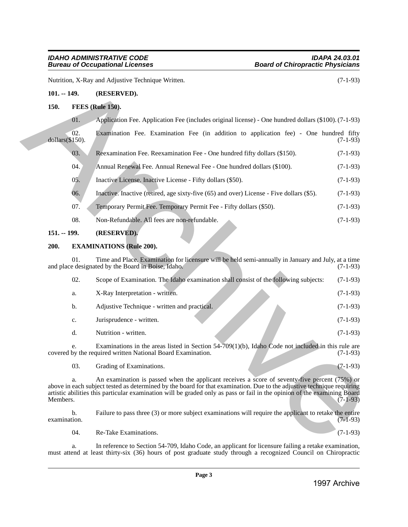## *Bureau of Occupational Licenses*

#### <span id="page-2-0"></span>**101. -- 149. (RESERVED).**

#### <span id="page-2-1"></span>**150. FEES (Rule 150).**

- 05. Inactive License. Inactive License Fifty dollars (\$50). (7-1-93)
- 06. Inactive. Inactive (retired, age sixty-five (65) and over) License Five dollars (\$5). (7-1-93)
- 07. Temporary Permit Fee. Temporary Permit Fee Fifty dollars (\$50). (7-1-93)
- 08. Non-Refundable. All fees are non-refundable. (7-1-93)

#### <span id="page-2-2"></span>**151. -- 199. (RESERVED).**

#### <span id="page-2-3"></span>**200. EXAMINATIONS (Rule 200).**

|                 | Nutrition, X-Ray and Adjustive Technique Written. |                                                                                                                                                                                                                                                                                                                                                     |            |
|-----------------|---------------------------------------------------|-----------------------------------------------------------------------------------------------------------------------------------------------------------------------------------------------------------------------------------------------------------------------------------------------------------------------------------------------------|------------|
| $101. - 149.$   |                                                   | (RESERVED).                                                                                                                                                                                                                                                                                                                                         |            |
| 150.            |                                                   | <b>FEES</b> (Rule 150).                                                                                                                                                                                                                                                                                                                             |            |
|                 | 01.                                               | Application Fee. Application Fee (includes original license) - One hundred dollars (\$100). (7-1-93)                                                                                                                                                                                                                                                |            |
| dollars(\$150). | 02.                                               | Examination Fee. Examination Fee (in addition to application fee) - One hundred fifty                                                                                                                                                                                                                                                               | $(7-1-93)$ |
|                 | 03.                                               | Reexamination Fee. Reexamination Fee - One hundred fifty dollars (\$150).                                                                                                                                                                                                                                                                           | $(7-1-93)$ |
|                 | 04.                                               | Annual Renewal Fee. Annual Renewal Fee - One hundred dollars (\$100).                                                                                                                                                                                                                                                                               | $(7-1-93)$ |
|                 | 05.                                               | Inactive License. Inactive License - Fifty dollars (\$50).                                                                                                                                                                                                                                                                                          | $(7-1-93)$ |
|                 | 06.                                               | Inactive. Inactive (retired, age sixty-five (65) and over) License - Five dollars (\$5).                                                                                                                                                                                                                                                            | $(7-1-93)$ |
|                 | 07.                                               | Temporary Permit Fee. Temporary Permit Fee - Fifty dollars (\$50).                                                                                                                                                                                                                                                                                  | $(7-1-93)$ |
|                 | 08.                                               | Non-Refundable. All fees are non-refundable.                                                                                                                                                                                                                                                                                                        | $(7-1-93)$ |
| $151. - 199.$   |                                                   | (RESERVED).                                                                                                                                                                                                                                                                                                                                         |            |
| 200.            |                                                   | <b>EXAMINATIONS (Rule 200).</b>                                                                                                                                                                                                                                                                                                                     |            |
|                 | 01.                                               | Time and Place. Examination for licensure will be held semi-annually in January and July, at a time<br>and place designated by the Board in Boise, Idaho.                                                                                                                                                                                           | $(7-1-93)$ |
|                 | 02.                                               | Scope of Examination. The Idaho examination shall consist of the following subjects:                                                                                                                                                                                                                                                                | $(7-1-93)$ |
|                 | a.                                                | X-Ray Interpretation - written.                                                                                                                                                                                                                                                                                                                     | $(7-1-93)$ |
|                 | b.                                                | Adjustive Technique - written and practical.                                                                                                                                                                                                                                                                                                        | $(7-1-93)$ |
|                 | c.                                                | Jurisprudence - written.                                                                                                                                                                                                                                                                                                                            | $(7-1-93)$ |
|                 | d.                                                | Nutrition - written.                                                                                                                                                                                                                                                                                                                                | $(7-1-93)$ |
|                 |                                                   | Examinations in the areas listed in Section 54-709(1)(b), Idaho Code not included in this rule are<br>covered by the required written National Board Examination.                                                                                                                                                                                   | $(7-1-93)$ |
|                 | 03.                                               | Grading of Examinations.                                                                                                                                                                                                                                                                                                                            | $(7-1-93)$ |
| Members.        | a.                                                | An examination is passed when the applicant receives a score of seventy-five percent (75%) or<br>above in each subject tested as determined by the board for that examination. Due to the adjustive technique requiring<br>artistic abilities this particular examination will be graded only as pass or fail in the opinion of the examining Board | $(7-1-93)$ |
| examination.    | b.                                                | Failure to pass three (3) or more subject examinations will require the applicant to retake the entire                                                                                                                                                                                                                                              | $(7-1-93)$ |
|                 | 04.                                               | Re-Take Examinations.                                                                                                                                                                                                                                                                                                                               | $(7-1-93)$ |
|                 | a.                                                | In reference to Section 54-709, Idaho Code, an applicant for licensure failing a retake examination,<br>must attend at least thirty-six (36) hours of post graduate study through a recognized Council on Chiropractic                                                                                                                              |            |
|                 |                                                   |                                                                                                                                                                                                                                                                                                                                                     |            |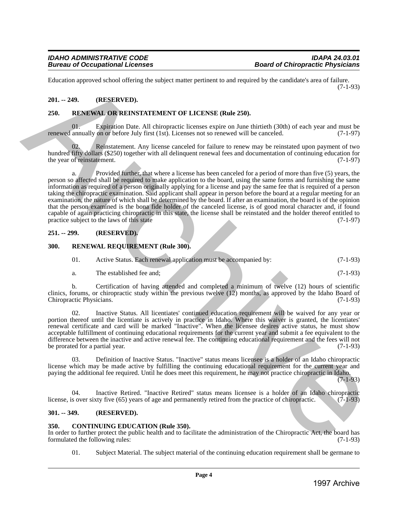Education approved school offering the subject matter pertinent to and required by the candidate's area of failure. (7-1-93)

#### <span id="page-3-0"></span>**201. -- 249. (RESERVED).**

#### <span id="page-3-1"></span>**250. RENEWAL OR REINSTATEMENT OF LICENSE (Rule 250).**

Expiration Date. All chiropractic licenses expire on June thirtieth (30th) of each year and must be<br>on or before July first (1st). Licenses not so renewed will be canceled. (7-1-97) renewed annually on or before July first (1st). Licenses not so renewed will be canceled.

02. Reinstatement. Any license canceled for failure to renew may be reinstated upon payment of two hundred fifty dollars (\$250) together with all delinquent renewal fees and documentation of continuing education for<br>(7-1-97) the year of reinstatement.

a. Provided further, that where a license has been canceled for a period of more than five (5) years, the person so affected shall be required to make application to the board, using the same forms and furnishing the same information as required of a person originally applying for a license and pay the same fee that is required of a person taking the chiropractic examination. Said applicant shall appear in person before the board at a regular meeting for an examination, the nature of which shall be determined by the board. If after an examination, the board is of the opinion that the person examined is the bona fide holder of the canceled license, is of good moral character and, if found capable of again practicing chiropractic in this state, the license shall be reinstated and the holder thereof entitled to practice subject to the laws of this state practice subject to the laws of this state Exheculation approved school other<br>is the archives the stationary of the stationary of the stationary of the stationary of the stationary of the stationary of the stationary of the stationary of the stationary of the stat

#### <span id="page-3-2"></span>**251. -- 299. (RESERVED).**

#### <span id="page-3-3"></span>**300. RENEWAL REQUIREMENT (Rule 300).**

- 01. Active Status. Each renewal application must be accompanied by: (7-1-93)
- a. The established fee and; (7-1-93)

b. Certification of having attended and completed a minimum of twelve (12) hours of scientific clinics, forums, or chiropractic study within the previous twelve (12) months, as approved by the Idaho Board of Chiropractic Physicians. (7-1-93) Chiropractic Physicians.

02. Inactive Status. All licentiates' continued education requirement will be waived for any year or portion thereof until the licentiate is actively in practice in Idaho. Where this waiver is granted, the licentiates' renewal certificate and card will be marked "Inactive". When the licensee desires active status, he must show acceptable fulfillment of continuing educational requirements for the current year and submit a fee equivalent to the difference between the inactive and active renewal fee. The continuing educational requirement and the fees will not<br>(7-1-93) be prorated for a partial year.

03. Definition of Inactive Status. "Inactive" status means licensee is a holder of an Idaho chiropractic license which may be made active by fulfilling the continuing educational requirement for the current year and paying the additional fee required. Until he does meet this requirement, he may not practice chiropractic in Idaho.

 $(7-1-93)$ 

04. Inactive Retired. "Inactive Retired" status means licensee is a holder of an Idaho chiropractic sover sixty five (65) years of age and permanently retired from the practice of chiropractic. (7-1-93) license, is over sixty five (65) years of age and permanently retired from the practice of chiropractic.

#### <span id="page-3-4"></span>**301. -- 349. (RESERVED).**

#### <span id="page-3-5"></span>**350. CONTINUING EDUCATION (Rule 350).**

In order to further protect the public health and to facilitate the administration of the Chiropractic Act, the board has formulated the following rules: (7-1-93) formulated the following rules:

01. Subject Material. The subject material of the continuing education requirement shall be germane to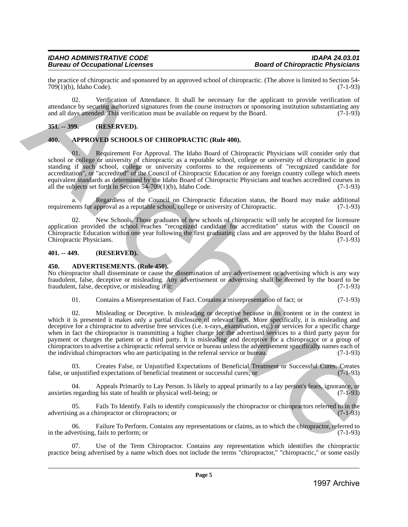#### *IDAHO ADMINISTRATIVE CODE IDAPA 24.03.01* **Bureau of Occupational Licenses**

the practice of chiropractic and sponsored by an approved school of chiropractic. (The above is limited to Section 54-<br>
799(1)(b), Idaho Code). (7-1-93)  $709(1)(b)$ , Idaho Code).

02. Verification of Attendance. It shall be necessary for the applicant to provide verification of attendance by securing authorized signatures from the course instructors or sponsoring institution substantiating any and all days attended. This verification must be available on request by the Board. (7-1-93)

#### <span id="page-4-0"></span>**351. -- 399. (RESERVED).**

#### <span id="page-4-1"></span>**400. APPROVED SCHOOLS OF CHIROPRACTIC (Rule 400).**

01. Requirement For Approval. The Idaho Board of Chiropractic Physicians will consider only that school or college or university of chiropractic as a reputable school, college or university of chiropractic in good standing if such school, college or university conforms to the requirements of "recognized candidate for accreditation", or "accredited" of the Council of Chiropractic Education or any foreign country college which meets equivalent standards as determined by the Idaho Board of Chiropractic Physicians and teaches accredited courses in all the subjects set forth in Section 54-709(1)(b), Idaho Code. (7-1-93) all the subjects set forth in Section  $54-709(1)(b)$ , Idaho Code.

a. Regardless of the Council on Chiropractic Education status, the Board may make additional<br>ents for approval as a reputable school, college or university of Chiropractic. (7-1-93) requirements for approval as a reputable school, college or university of Chiropractic.

02. New Schools. Those graduates of new schools of chiropractic will only be accepted for licensure application provided the school reaches "recognized candidate for accreditation" status with the Council on Chiropractic Education within one year following the first graduating class and are approved by the Idaho Board of Chiropractic Physicians. (7-1-93) (3-1-93)

#### <span id="page-4-2"></span>**401. -- 449. (RESERVED).**

#### <span id="page-4-3"></span>**450. ADVERTISEMENTS. (Rule 450).**

No chiropractor shall disseminate or cause the dissemination of any advertisement or advertising which is any way fraudulent, false, deceptive or misleading. Any advertisement or advertising shall be deemed by the board to be fraudulent, false, deceptive, or misleading if it:

01. Contains a Misrepresentation of Fact. Contains a misrepresentation of fact; or (7-1-93)

02. Misleading or Deceptive. Is misleading or deceptive because in its content or in the context in which it is presented it makes only a partial disclosure of relevant facts. More specifically, it is misleading and deceptive for a chiropractor to advertise free services (i.e. x-rays, examination, etc.) or services for a specific charge when in fact the chiropractor is transmitting a higher charge for the advertised services to a third party payor for payment or charges the patient or a third party. It is misleading and deceptive for a chiropractor or a group of chiropractors to advertise a chiropractic referral service or bureau unless the advertisement specifically names each of the individual chiropractors who are participating in the referral service or bureau. (7-1-93) In gradient control and particular the state of the state of the state of the state of the state of the state of the state of the state of the state of the state of the state of the state of the state of the state of the

03. Creates False, or Unjustified Expectations of Beneficial Treatment or Successful Cures. Creates unjustified expectations of beneficial treatment or successful cures; or (7-1-93) false, or unjustified expectations of beneficial treatment or successful cures; or

04. Appeals Primarily to Lay Person. Is likely to appeal primarily to a lay person's fears, ignorance, or anxieties regarding his state of health or physical well-being; or (7-1-93)

Fails To Identify. Fails to identify conspicuously the chiropractor or chiropractors referred to in the hiropractor or chiropractors; or (7-1-93) advertising as a chiropractor or chiropractors; or

06. Failure To Perform. Contains any representations or claims, as to which the chiropractor, referred to vertising, fails to perform; or in the advertising, fails to perform; or

Use of the Term Chiropractor. Contains any representation which identifies the chiropractic practice being advertised by a name which does not include the terms "chiropractor," "chiropractic," or some easily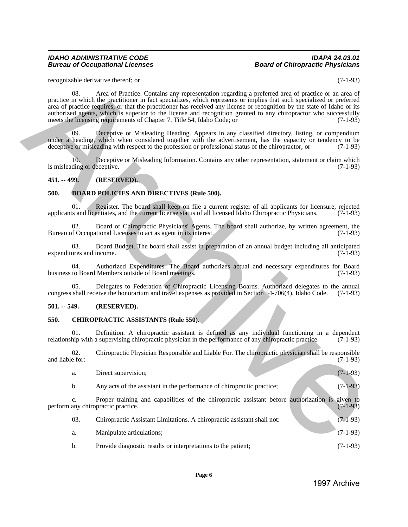#### *IDAHO ADMINISTRATIVE CODE IDAPA 24.03.01 Bureau of Occupational Licenses*

#### <span id="page-5-0"></span>**451. -- 499. (RESERVED).**

#### <span id="page-5-1"></span>**500. BOARD POLICIES AND DIRECTIVES (Rule 500).**

#### <span id="page-5-2"></span>**501. -- 549. (RESERVED).**

#### <span id="page-5-3"></span>**550. CHIROPRACTIC ASSISTANTS (Rule 550).**

|                 | recognizable derivative thereof; or                                                                                                                                                                                                                                                                                                                                                                                                                                                                                                                            | $(7-1-93)$ |
|-----------------|----------------------------------------------------------------------------------------------------------------------------------------------------------------------------------------------------------------------------------------------------------------------------------------------------------------------------------------------------------------------------------------------------------------------------------------------------------------------------------------------------------------------------------------------------------------|------------|
|                 | Area of Practice. Contains any representation regarding a preferred area of practice or an area of<br>08.<br>practice in which the practitioner in fact specializes, which represents or implies that such specialized or preferred<br>area of practice requires, or that the practitioner has received any license or recognition by the state of Idaho or its<br>authorized agents, which is superior to the license and recognition granted to any chiropractor who successfully<br>meets the licensing requirements of Chapter 7, Title 54, Idaho Code; or | $(7-1-93)$ |
|                 | Deceptive or Misleading Heading. Appears in any classified directory, listing, or compendium<br>09.<br>under a heading, which when considered together with the advertisement, has the capacity or tendency to be<br>deceptive or misleading with respect to the profession or professional status of the chiropractor; or                                                                                                                                                                                                                                     | $(7-1-93)$ |
|                 | 10.<br>Deceptive or Misleading Information. Contains any other representation, statement or claim which<br>is misleading or deceptive.                                                                                                                                                                                                                                                                                                                                                                                                                         | $(7-1-93)$ |
| $451 - 499$ .   | (RESERVED).                                                                                                                                                                                                                                                                                                                                                                                                                                                                                                                                                    |            |
| 500.            | <b>BOARD POLICIES AND DIRECTIVES (Rule 500).</b>                                                                                                                                                                                                                                                                                                                                                                                                                                                                                                               |            |
|                 | 01.<br>Register. The board shall keep on file a current register of all applicants for licensure, rejected<br>applicants and licentiates, and the current license status of all licensed Idaho Chiropractic Physicians.                                                                                                                                                                                                                                                                                                                                        | $(7-1-93)$ |
|                 | Board of Chiropractic Physicians' Agents. The board shall authorize, by written agreement, the<br>02.<br>Bureau of Occupational Licenses to act as agent in its interest.                                                                                                                                                                                                                                                                                                                                                                                      | $(7-1-93)$ |
|                 | 03.<br>Board Budget. The board shall assist in preparation of an annual budget including all anticipated<br>expenditures and income.                                                                                                                                                                                                                                                                                                                                                                                                                           | $(7-1-93)$ |
|                 | Authorized Expenditures. The Board authorizes actual and necessary expenditures for Board<br>04.<br>business to Board Members outside of Board meetings.                                                                                                                                                                                                                                                                                                                                                                                                       | $(7-1-93)$ |
|                 | Delegates to Federation of Chiropractic Licensing Boards. Authorized delegates to the annual<br>05.<br>congress shall receive the honorarium and travel expenses as provided in Section 54-706(4), Idaho Code.                                                                                                                                                                                                                                                                                                                                                 | $(7-1-93)$ |
| $501. - 549.$   | (RESERVED).                                                                                                                                                                                                                                                                                                                                                                                                                                                                                                                                                    |            |
| 550.            | <b>CHIROPRACTIC ASSISTANTS (Rule 550).</b>                                                                                                                                                                                                                                                                                                                                                                                                                                                                                                                     |            |
|                 | Definition. A chiropractic assistant is defined as any individual functioning in a dependent<br>01.<br>relationship with a supervising chiropractic physician in the performance of any chiropractic practice.                                                                                                                                                                                                                                                                                                                                                 | $(7-1-93)$ |
| and liable for: | Chiropractic Physician Responsible and Liable For. The chiropractic physician shall be responsible<br>02.                                                                                                                                                                                                                                                                                                                                                                                                                                                      | $(7-1-93)$ |
|                 | Direct supervision;<br>a.                                                                                                                                                                                                                                                                                                                                                                                                                                                                                                                                      | $(7-1-93)$ |
|                 | Any acts of the assistant in the performance of chiropractic practice;<br>b.                                                                                                                                                                                                                                                                                                                                                                                                                                                                                   | $(7-1-93)$ |
|                 | Proper training and capabilities of the chiropractic assistant before authorization is given to<br>c.<br>perform any chiropractic practice.                                                                                                                                                                                                                                                                                                                                                                                                                    | $(7-1-93)$ |
|                 | 03.<br>Chiropractic Assistant Limitations. A chiropractic assistant shall not:                                                                                                                                                                                                                                                                                                                                                                                                                                                                                 | $(7-1-93)$ |
|                 | Manipulate articulations;<br>a.                                                                                                                                                                                                                                                                                                                                                                                                                                                                                                                                | $(7-1-93)$ |
|                 | Provide diagnostic results or interpretations to the patient;<br>b.                                                                                                                                                                                                                                                                                                                                                                                                                                                                                            | $(7-1-93)$ |
|                 | Page 6                                                                                                                                                                                                                                                                                                                                                                                                                                                                                                                                                         |            |